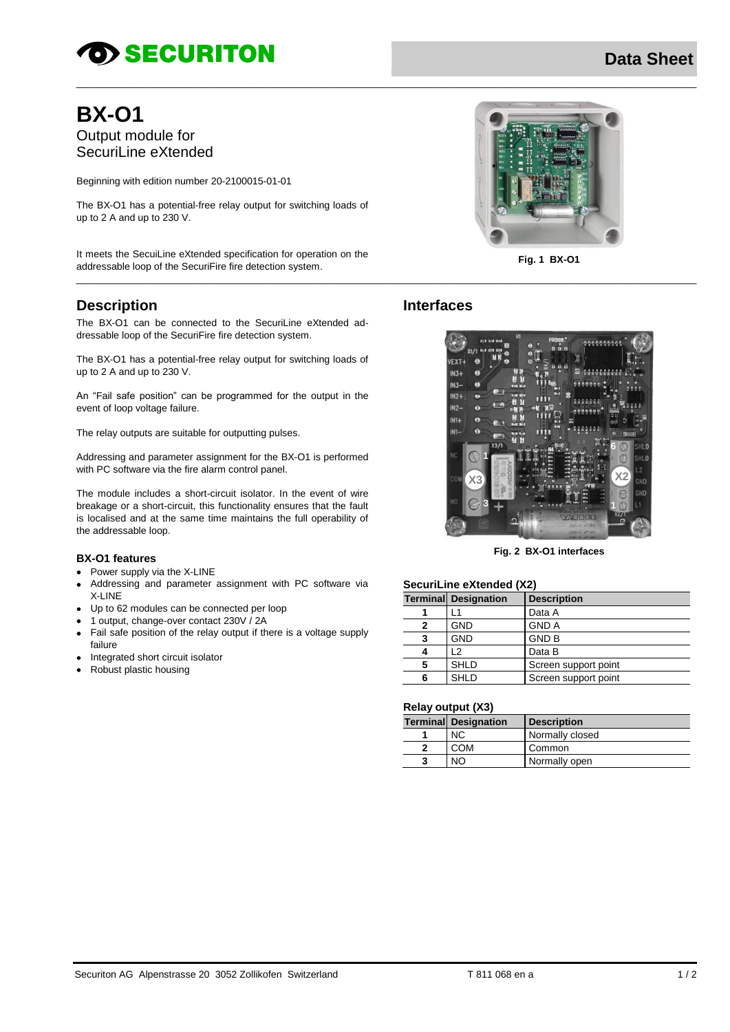# **OD SECURITON**

# **Data Sheet**

# **BX-01** Output module for SecuriLine eXtended

Beginning with edition number 20-2100015-01-01

The BX-O1 has a potential-free relay output for switching loads of up to 2 A and up to 230 V.

It meets the SecuiLine eXtended specification for operation on the addressable loop of the SecuriFire fire detection system.

# **Description**

The BX-O1 can be connected to the SecuriLine eXtended addressable loop of the SecuriFire fire detection system.

The BX-O1 has a potential-free relay output for switching loads of up to 2 A and up to 230 V.

An "Fail safe position" can be programmed for the output in the event of loop voltage failure.

The relay outputs are suitable for outputting pulses.

Addressing and parameter assignment for the BX-O1 is performed with PC software via the fire alarm control panel.

The module includes a short-circuit isolator. In the event of wire breakage or a short-circuit, this functionality ensures that the fault is localised and at the same time maintains the full operability of the addressable loop.

#### **BX-O1 features**

- Power supply via the X-LINE
- Addressing and parameter assignment with PC software via X-LINE
- Up to 62 modules can be connected per loop
- 1 output, change-over contact 230V / 2A
- Fail safe position of the relay output if there is a voltage supply failure
- Integrated short circuit isolator
- Robust plastic housing  $\bullet$



Fig. 1 BX-01

# **Interfaces**



Fig. 2 BX-O1 interfaces

#### SecuriLine eXtended (X2)

|   | <b>Terminal Designation</b> | <b>Description</b>   |
|---|-----------------------------|----------------------|
|   |                             | Data A               |
| 2 | <b>GND</b>                  | <b>GND A</b>         |
| 3 | <b>GND</b>                  | <b>GND B</b>         |
|   | 12                          | Data B               |
| 5 | <b>SHLD</b>                 | Screen support point |
| 6 | <b>SHLD</b>                 | Screen support point |

#### **Relay output (X3)**

|  |  | <b>Terminal Designation</b> | <b>Description</b> |
|--|--|-----------------------------|--------------------|
|  |  |                             | Normally closed    |
|  |  | COM                         | Common             |
|  |  | NΩ                          | Normally open      |